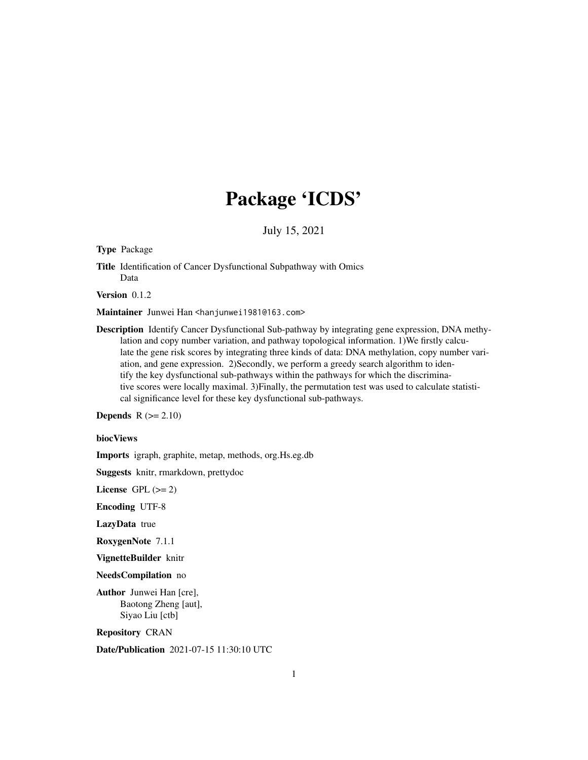## Package 'ICDS'

July 15, 2021

<span id="page-0-0"></span>Type Package

Title Identification of Cancer Dysfunctional Subpathway with Omics Data

Version 0.1.2

Maintainer Junwei Han <hanjunwei1981@163.com>

Description Identify Cancer Dysfunctional Sub-pathway by integrating gene expression, DNA methylation and copy number variation, and pathway topological information. 1)We firstly calculate the gene risk scores by integrating three kinds of data: DNA methylation, copy number variation, and gene expression. 2)Secondly, we perform a greedy search algorithm to identify the key dysfunctional sub-pathways within the pathways for which the discriminative scores were locally maximal. 3)Finally, the permutation test was used to calculate statistical significance level for these key dysfunctional sub-pathways.

**Depends**  $R$  ( $>= 2.10$ )

#### biocViews

Imports igraph, graphite, metap, methods, org.Hs.eg.db

Suggests knitr, rmarkdown, prettydoc

License GPL  $(>= 2)$ 

Encoding UTF-8

LazyData true

RoxygenNote 7.1.1

VignetteBuilder knitr

NeedsCompilation no

Author Junwei Han [cre], Baotong Zheng [aut], Siyao Liu [ctb]

Repository CRAN

Date/Publication 2021-07-15 11:30:10 UTC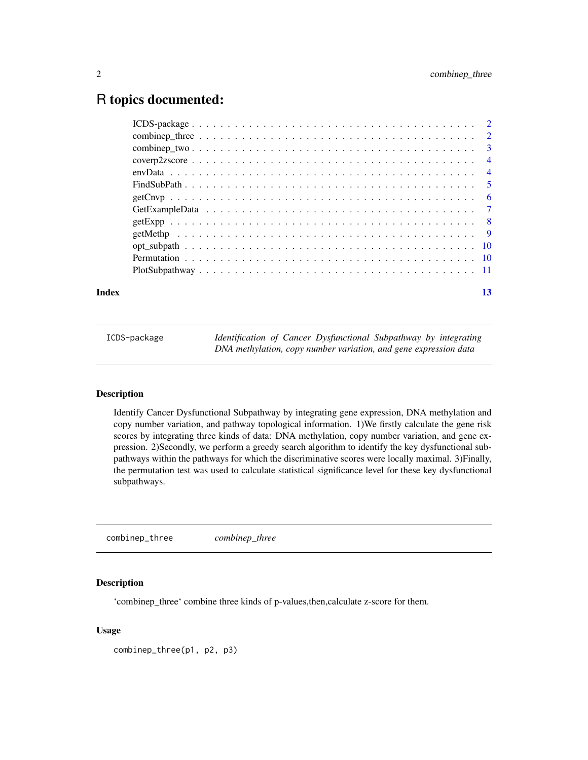## <span id="page-1-0"></span>R topics documented:

| Index | 13 |
|-------|----|

| ICDS-package | Identification of Cancer Dysfunctional Subpathway by integrating |
|--------------|------------------------------------------------------------------|
|              | DNA methylation, copy number variation, and gene expression data |

## Description

Identify Cancer Dysfunctional Subpathway by integrating gene expression, DNA methylation and copy number variation, and pathway topological information. 1)We firstly calculate the gene risk scores by integrating three kinds of data: DNA methylation, copy number variation, and gene expression. 2)Secondly, we perform a greedy search algorithm to identify the key dysfunctional subpathways within the pathways for which the discriminative scores were locally maximal. 3)Finally, the permutation test was used to calculate statistical significance level for these key dysfunctional subpathways.

combinep\_three *combinep\_three*

#### Description

'combinep\_three' combine three kinds of p-values,then,calculate z-score for them.

#### Usage

```
combinep_three(p1, p2, p3)
```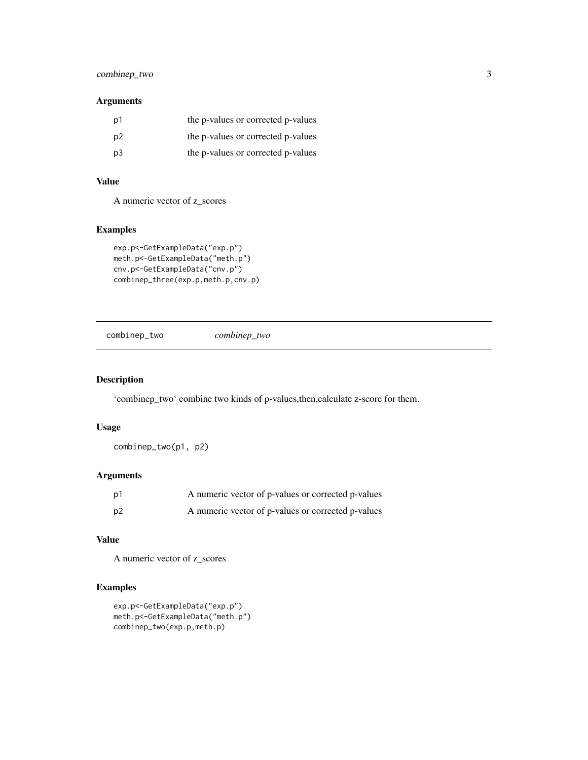## <span id="page-2-0"></span>combinep\_two 3

## Arguments

| D1             | the p-values or corrected p-values |
|----------------|------------------------------------|
| p <sub>2</sub> | the p-values or corrected p-values |
| p3             | the p-values or corrected p-values |

### Value

A numeric vector of z\_scores

#### Examples

```
exp.p<-GetExampleData("exp.p")
meth.p<-GetExampleData("meth.p")
cnv.p<-GetExampleData("cnv.p")
combinep_three(exp.p,meth.p,cnv.p)
```
combinep\_two *combinep\_two*

## Description

'combinep\_two' combine two kinds of p-values,then,calculate z-score for them.

## Usage

combinep\_two(p1, p2)

### Arguments

| p1 | A numeric vector of p-values or corrected p-values |
|----|----------------------------------------------------|
| p2 | A numeric vector of p-values or corrected p-values |

#### Value

A numeric vector of z\_scores

## Examples

```
exp.p<-GetExampleData("exp.p")
meth.p<-GetExampleData("meth.p")
combinep_two(exp.p,meth.p)
```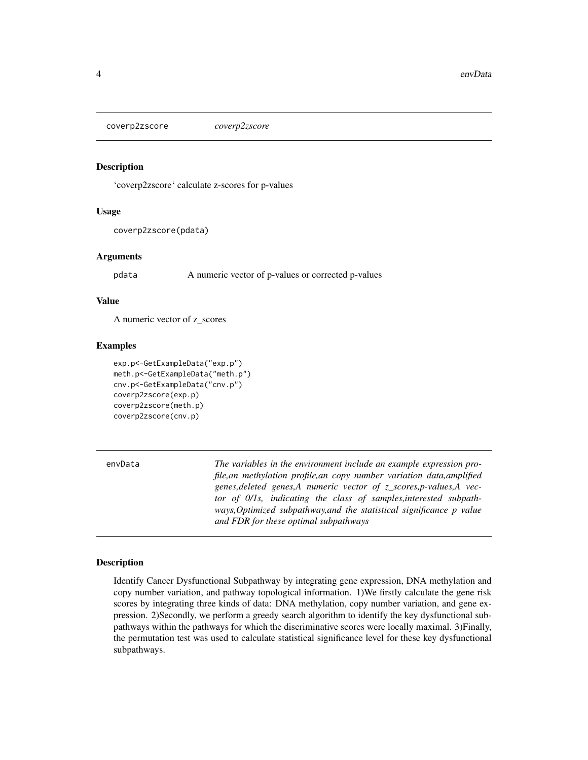<span id="page-3-0"></span>coverp2zscore *coverp2zscore*

#### Description

'coverp2zscore' calculate z-scores for p-values

## Usage

```
coverp2zscore(pdata)
```
#### Arguments

pdata A numeric vector of p-values or corrected p-values

#### Value

A numeric vector of z\_scores

#### Examples

```
exp.p<-GetExampleData("exp.p")
meth.p<-GetExampleData("meth.p")
cnv.p<-GetExampleData("cnv.p")
coverp2zscore(exp.p)
coverp2zscore(meth.p)
coverp2zscore(cnv.p)
```

| envData | The variables in the environment include an example expression pro-<br>file, an methylation profile, an copy number variation data, amplified<br>genes, deleted genes, A numeric vector of $z$ scores, p-values, A vec-<br>tor of 0/1s, indicating the class of samples, interested subpath-<br>ways, Optimized subpathway, and the statistical significance p value |
|---------|----------------------------------------------------------------------------------------------------------------------------------------------------------------------------------------------------------------------------------------------------------------------------------------------------------------------------------------------------------------------|
|         | and FDR for these optimal subpathways                                                                                                                                                                                                                                                                                                                                |

#### Description

Identify Cancer Dysfunctional Subpathway by integrating gene expression, DNA methylation and copy number variation, and pathway topological information. 1)We firstly calculate the gene risk scores by integrating three kinds of data: DNA methylation, copy number variation, and gene expression. 2)Secondly, we perform a greedy search algorithm to identify the key dysfunctional subpathways within the pathways for which the discriminative scores were locally maximal. 3)Finally, the permutation test was used to calculate statistical significance level for these key dysfunctional subpathways.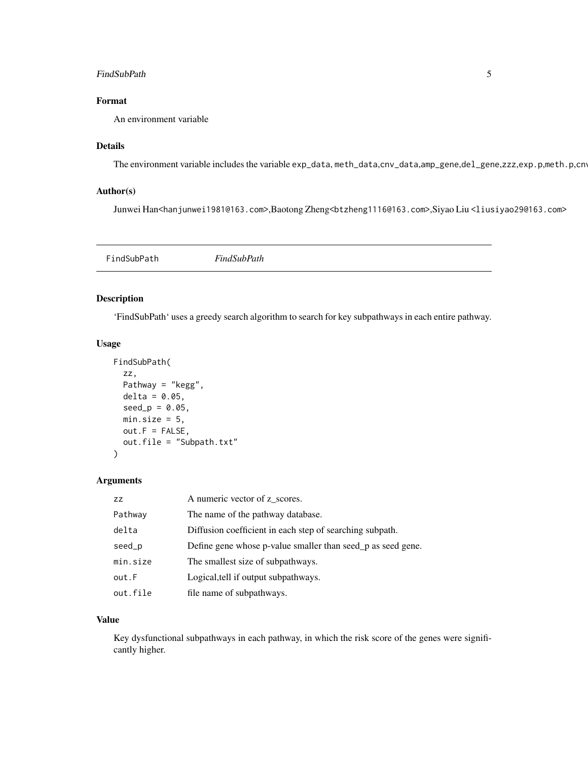#### <span id="page-4-0"></span>FindSubPath 5

## Format

An environment variable

## Details

The environment variable includes the variable exp\_data, meth\_data,cnv\_data,amp\_gene,del\_gene,zzz,exp.p,meth.p,cnv

## Author(s)

Junwei Han<hanjunwei1981@163.com>,Baotong Zheng<br/>stzheng1116@163.com>,Siyao Liu<liusiyao29@163.com>

FindSubPath *FindSubPath*

## Description

'FindSubPath' uses a greedy search algorithm to search for key subpathways in each entire pathway.

#### Usage

```
FindSubPath(
 zz,
 Pathway = "kegg",
 delta = 0.05,
 seed_p = 0.05,
 min.size = 5,
 out.F = FALSE,out.file = "Subpath.txt"
)
```
#### Arguments

| ZZ       | A numeric vector of z scores.                               |
|----------|-------------------------------------------------------------|
| Pathway  | The name of the pathway database.                           |
| delta    | Diffusion coefficient in each step of searching subpath.    |
| seed_p   | Define gene whose p-value smaller than seed p as seed gene. |
| min.size | The smallest size of subpathways.                           |
| out.F    | Logical, tell if output subpathways.                        |
| out.file | file name of subpathways.                                   |

#### Value

Key dysfunctional subpathways in each pathway, in which the risk score of the genes were significantly higher.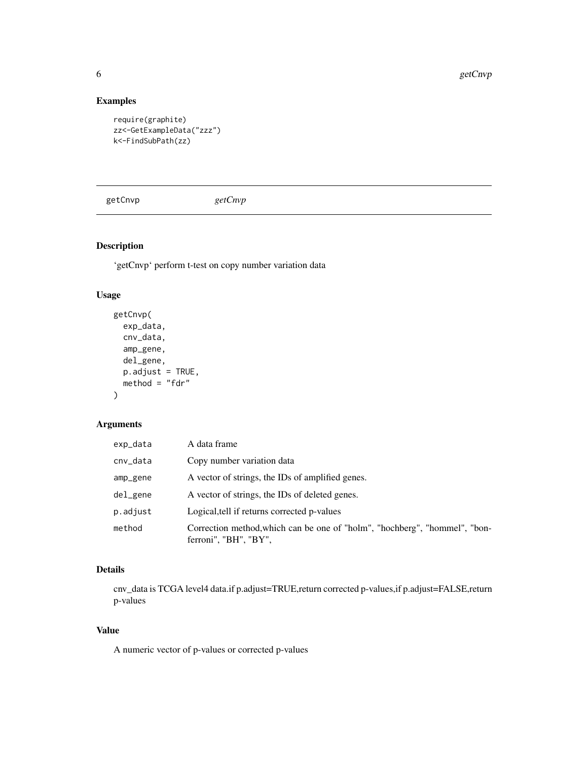6 getCnvp getCnvp getCnvp getCnvp getCnvp getCnvp getCnvp getCnvp getCnvp getCnvp getCnvp getCnvp getCnvp getCnvp getCnvp getCnvp getCnvp getCnvp getCnvp getCnvp getCnvp getCnvp getCnvp getCnvp getCnvp getCnvp getCnvp getC

## Examples

```
require(graphite)
zz<-GetExampleData("zzz")
k<-FindSubPath(zz)
```
getCnvp *getCnvp*

## Description

'getCnvp' perform t-test on copy number variation data

## Usage

```
getCnvp(
 exp_data,
 cnv_data,
  amp_gene,
 del_gene,
 p.addjust = TRUE,method = "fdr"
```
## )

#### Arguments

| exp_data | A data frame                                                                                        |
|----------|-----------------------------------------------------------------------------------------------------|
| cnv_data | Copy number variation data                                                                          |
| amp_gene | A vector of strings, the IDs of amplified genes.                                                    |
| del_gene | A vector of strings, the IDs of deleted genes.                                                      |
| p.adjust | Logical, tell if returns corrected p-values                                                         |
| method   | Correction method, which can be one of "holm", "hochberg", "hommel", "bon-<br>ferroni", "BH", "BY", |

## Details

cnv\_data is TCGA level4 data.if p.adjust=TRUE,return corrected p-values,if p.adjust=FALSE,return p-values

## Value

A numeric vector of p-values or corrected p-values

<span id="page-5-0"></span>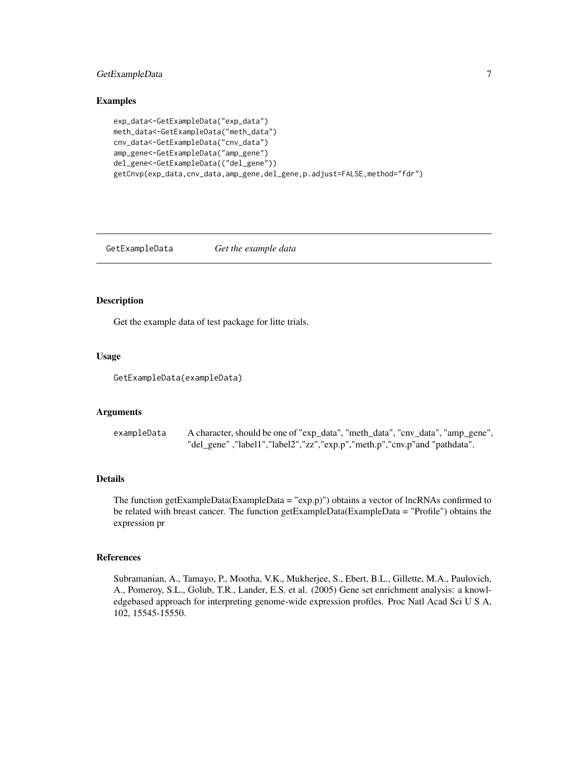## <span id="page-6-0"></span>GetExampleData 7

#### Examples

```
exp_data<-GetExampleData("exp_data")
meth_data<-GetExampleData("meth_data")
cnv_data<-GetExampleData("cnv_data")
amp_gene<-GetExampleData("amp_gene")
del_gene<-GetExampleData(("del_gene"))
getCnvp(exp_data,cnv_data,amp_gene,del_gene,p.adjust=FALSE,method="fdr")
```
GetExampleData *Get the example data*

## Description

Get the example data of test package for litte trials.

#### Usage

GetExampleData(exampleData)

#### Arguments

```
exampleData A character, should be one of "exp_data", "meth_data", "cnv_data", "amp_gene",
                  "del_gene" ,"label1","label2","zz","exp.p","meth.p","cnv.p"and "pathdata".
```
#### Details

The function getExampleData(ExampleData = "exp.p)") obtains a vector of lncRNAs confirmed to be related with breast cancer. The function getExampleData(ExampleData = "Profile") obtains the expression pr

#### References

Subramanian, A., Tamayo, P., Mootha, V.K., Mukherjee, S., Ebert, B.L., Gillette, M.A., Paulovich, A., Pomeroy, S.L., Golub, T.R., Lander, E.S. et al. (2005) Gene set enrichment analysis: a knowledgebased approach for interpreting genome-wide expression profiles. Proc Natl Acad Sci U S A, 102, 15545-15550.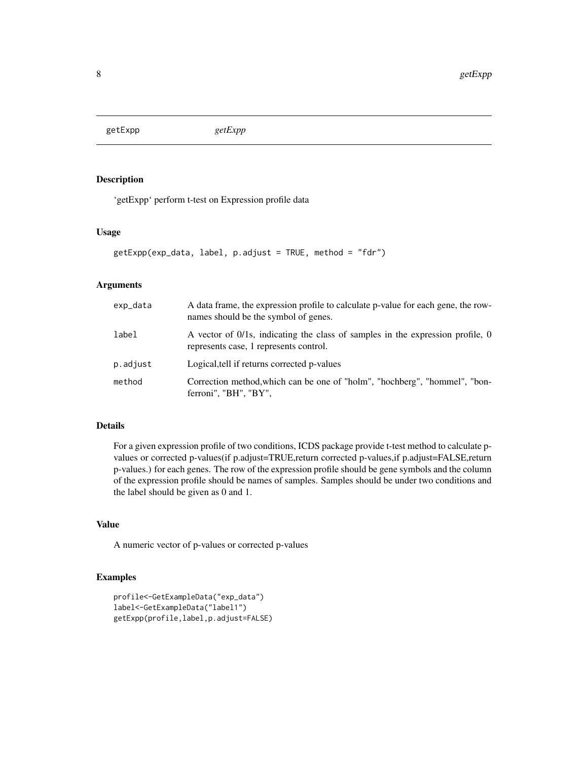<span id="page-7-0"></span>getExpp *getExpp*

## Description

'getExpp' perform t-test on Expression profile data

## Usage

```
getExpp(exp_data, label, p.adjust = TRUE, method = "fdr")
```
## Arguments

| exp_data | A data frame, the expression profile to calculate p-value for each gene, the row-<br>names should be the symbol of genes. |
|----------|---------------------------------------------------------------------------------------------------------------------------|
| label    | A vector of 0/1s, indicating the class of samples in the expression profile, 0<br>represents case, 1 represents control.  |
| p.adjust | Logical, tell if returns corrected p-values                                                                               |
| method   | Correction method, which can be one of "holm", "hochberg", "hommel", "bon-<br>ferroni", "BH", "BY",                       |

#### Details

For a given expression profile of two conditions, ICDS package provide t-test method to calculate pvalues or corrected p-values(if p.adjust=TRUE,return corrected p-values,if p.adjust=FALSE,return p-values.) for each genes. The row of the expression profile should be gene symbols and the column of the expression profile should be names of samples. Samples should be under two conditions and the label should be given as 0 and 1.

## Value

A numeric vector of p-values or corrected p-values

## Examples

```
profile<-GetExampleData("exp_data")
label<-GetExampleData("label1")
getExpp(profile,label,p.adjust=FALSE)
```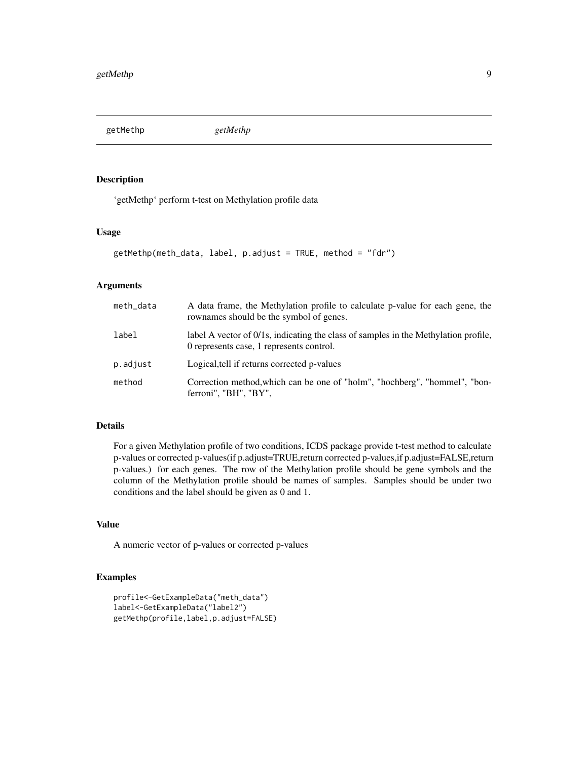<span id="page-8-0"></span>getMethp *getMethp*

#### Description

'getMethp' perform t-test on Methylation profile data

## Usage

```
getMethp(meth_data, label, p.adjust = TRUE, method = "fdr")
```
## Arguments

| meth_data | A data frame, the Methylation profile to calculate p-value for each gene, the<br>rownames should be the symbol of genes.        |
|-----------|---------------------------------------------------------------------------------------------------------------------------------|
| label     | label A vector of 0/1s, indicating the class of samples in the Methylation profile,<br>0 represents case, 1 represents control. |
| p.adjust  | Logical, tell if returns corrected p-values                                                                                     |
| method    | Correction method, which can be one of "holm", "hochberg", "hommel", "bon-<br>ferroni", "BH", "BY",                             |

#### Details

For a given Methylation profile of two conditions, ICDS package provide t-test method to calculate p-values or corrected p-values(if p.adjust=TRUE,return corrected p-values,if p.adjust=FALSE,return p-values.) for each genes. The row of the Methylation profile should be gene symbols and the column of the Methylation profile should be names of samples. Samples should be under two conditions and the label should be given as 0 and 1.

#### Value

A numeric vector of p-values or corrected p-values

#### Examples

```
profile<-GetExampleData("meth_data")
label<-GetExampleData("label2")
getMethp(profile,label,p.adjust=FALSE)
```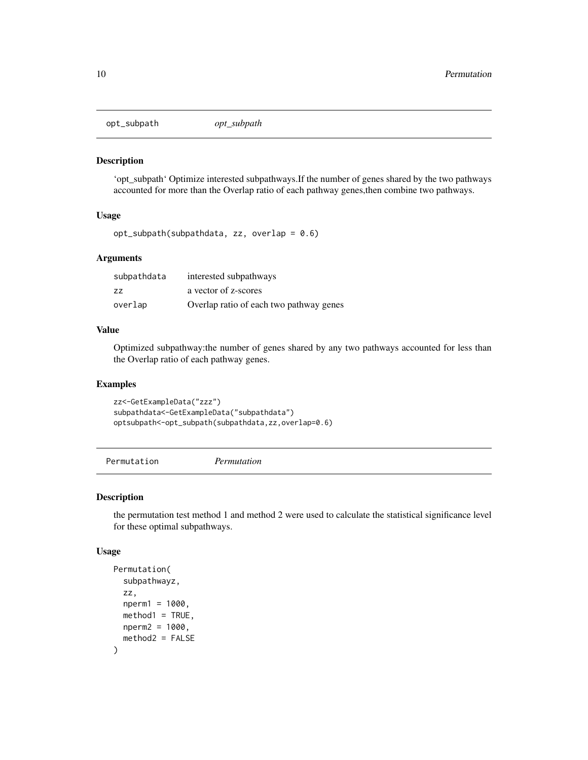<span id="page-9-0"></span>opt\_subpath *opt\_subpath*

#### Description

'opt\_subpath' Optimize interested subpathways.If the number of genes shared by the two pathways accounted for more than the Overlap ratio of each pathway genes,then combine two pathways.

#### Usage

opt\_subpath(subpathdata, zz, overlap = 0.6)

## Arguments

| subpathdata | interested subpathways                  |
|-------------|-----------------------------------------|
| - 77        | a vector of z-scores                    |
| overlap     | Overlap ratio of each two pathway genes |

#### Value

Optimized subpathway:the number of genes shared by any two pathways accounted for less than the Overlap ratio of each pathway genes.

#### Examples

zz<-GetExampleData("zzz") subpathdata<-GetExampleData("subpathdata") optsubpath<-opt\_subpath(subpathdata,zz,overlap=0.6)

Permutation *Permutation*

#### Description

the permutation test method 1 and method 2 were used to calculate the statistical significance level for these optimal subpathways.

#### Usage

```
Permutation(
  subpathwayz,
  zz,
 nperm1 = 1000,
 method1 = TRUE,
 nperm2 = 1000,
 method2 = FALSE
)
```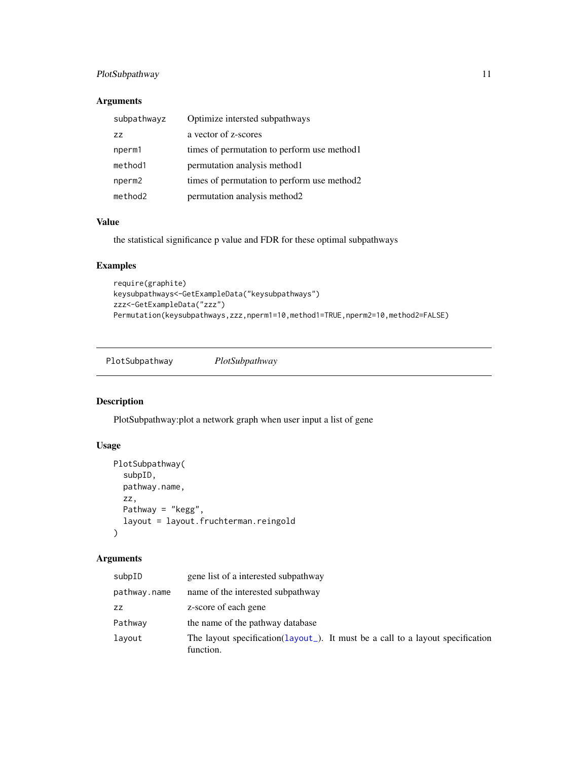## <span id="page-10-0"></span>PlotSubpathway 11

## Arguments

| subpathwayz        | Optimize intersted subpathways               |
|--------------------|----------------------------------------------|
| 77                 | a vector of z-scores                         |
| nperm1             | times of permutation to perform use method 1 |
| method1            | permutation analysis method 1                |
| nperm <sub>2</sub> | times of permutation to perform use method2  |
| method2            | permutation analysis method2                 |

## Value

the statistical significance p value and FDR for these optimal subpathways

## Examples

```
require(graphite)
keysubpathways<-GetExampleData("keysubpathways")
zzz<-GetExampleData("zzz")
Permutation(keysubpathways,zzz,nperm1=10,method1=TRUE,nperm2=10,method2=FALSE)
```
PlotSubpathway *PlotSubpathway*

## Description

PlotSubpathway:plot a network graph when user input a list of gene

## Usage

```
PlotSubpathway(
  subpID,
  pathway.name,
  zz,
  Pathway = "kegg",
  layout = layout.fruchterman.reingold
\mathcal{L}
```
## Arguments

| subpID       | gene list of a interested subpathway                                                        |
|--------------|---------------------------------------------------------------------------------------------|
| pathway.name | name of the interested subpathway                                                           |
| ZZ           | z-score of each gene                                                                        |
| Pathway      | the name of the pathway database                                                            |
| layout       | The layout specification(layout_). It must be a call to a layout specification<br>function. |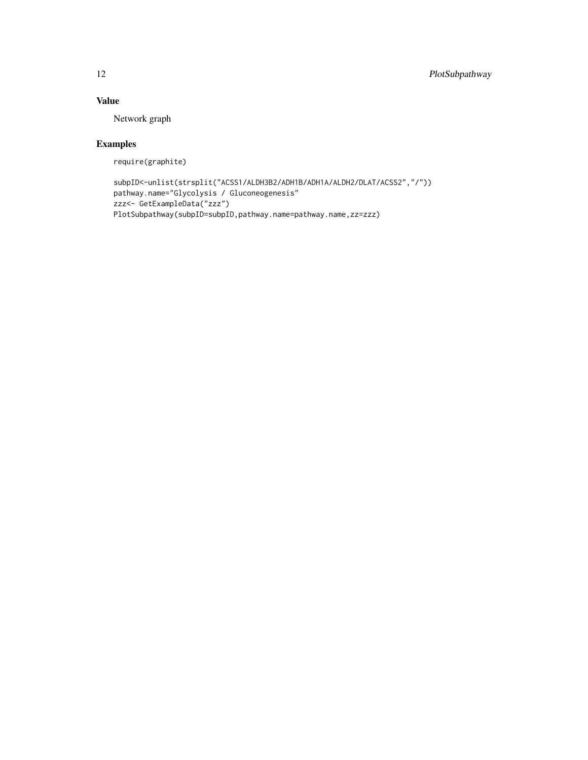## Value

Network graph

## Examples

require(graphite)

```
subpID<-unlist(strsplit("ACSS1/ALDH3B2/ADH1B/ADH1A/ALDH2/DLAT/ACSS2","/"))
pathway.name="Glycolysis / Gluconeogenesis"
zzz<- GetExampleData("zzz")
PlotSubpathway(subpID=subpID,pathway.name=pathway.name,zz=zzz)
```